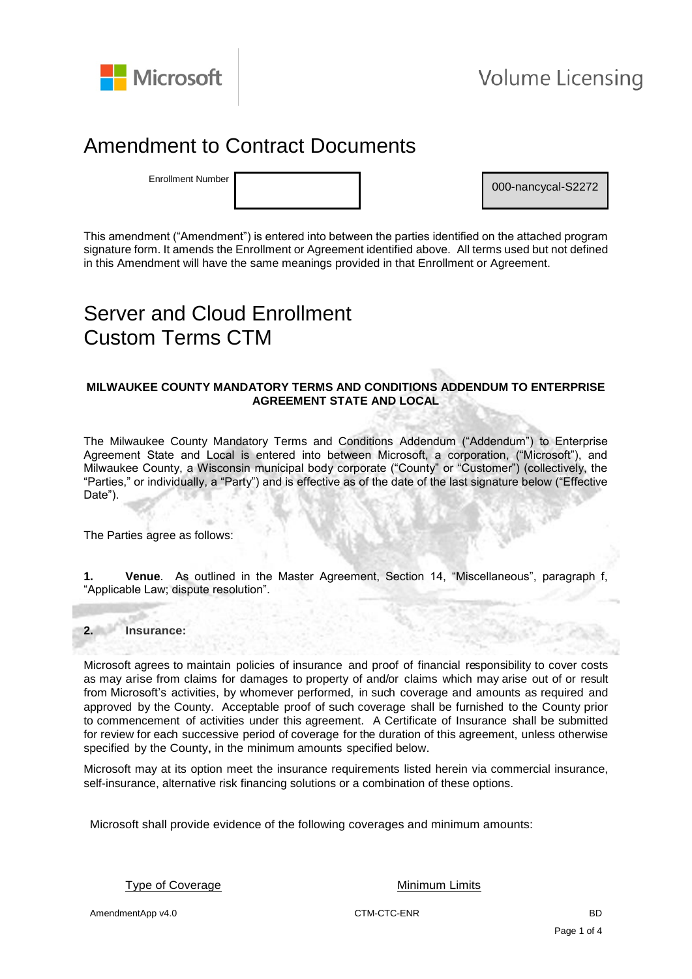

## Amendment to Contract Documents

Enrollment Number

000-nancycal-S2272

This amendment ("Amendment") is entered into between the parties identified on the attached program signature form. It amends the Enrollment or Agreement identified above. All terms used but not defined in this Amendment will have the same meanings provided in that Enrollment or Agreement.

# Server and Cloud Enrollment Custom Terms CTM

#### **MILWAUKEE COUNTY MANDATORY TERMS AND CONDITIONS ADDENDUM TO ENTERPRISE AGREEMENT STATE AND LOCAL**

The Milwaukee County Mandatory Terms and Conditions Addendum ("Addendum") to Enterprise Agreement State and Local is entered into between Microsoft, a corporation, ("Microsoft"), and Milwaukee County, a Wisconsin municipal body corporate ("County" or "Customer") (collectively, the "Parties," or individually, a "Party") and is effective as of the date of the last signature below ("Effective Date").

The Parties agree as follows:

**1. Venue**. As outlined in the Master Agreement, Section 14, "Miscellaneous", paragraph f, "Applicable Law; dispute resolution".

#### **2. Insurance:**

Microsoft agrees to maintain policies of insurance and proof of financial responsibility to cover costs as may arise from claims for damages to property of and/or claims which may arise out of or result from Microsoft's activities, by whomever performed, in such coverage and amounts as required and approved by the County. Acceptable proof of such coverage shall be furnished to the County prior to commencement of activities under this agreement. A Certificate of Insurance shall be submitted for review for each successive period of coverage for the duration of this agreement, unless otherwise specified by the County, in the minimum amounts specified below.

Microsoft may at its option meet the insurance requirements listed herein via commercial insurance, self-insurance, alternative risk financing solutions or a combination of these options.

Microsoft shall provide evidence of the following coverages and minimum amounts:

Type of Coverage Type of Coverage Type of Coverage Minimum Limits

AmendmentApp v4.0 BD CTM-CTC-ENR COMPUTE COMPUTER SERVICE SUPPORTED BD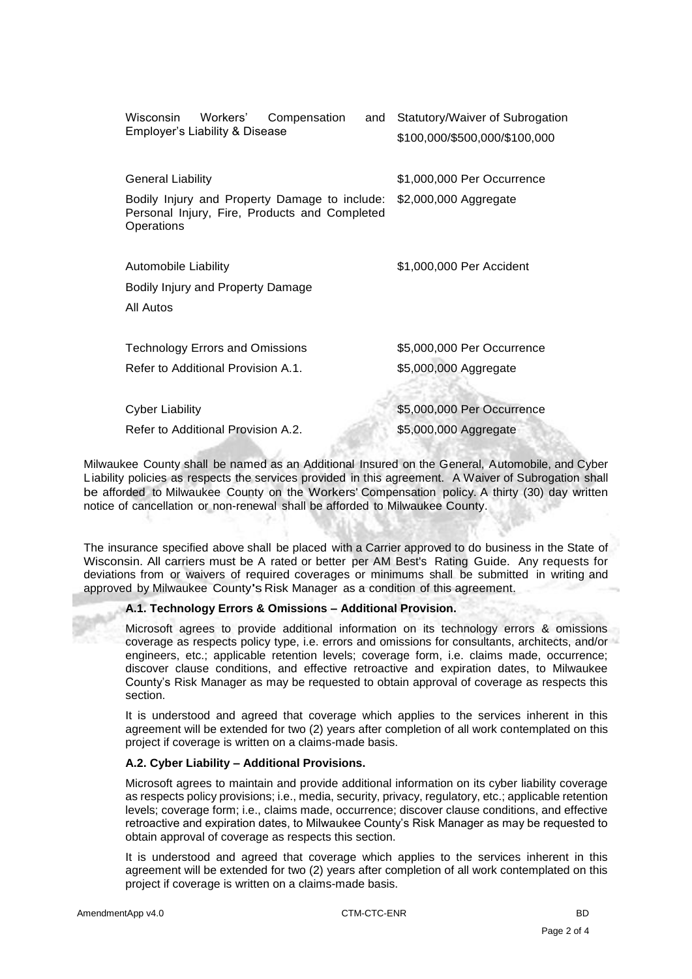| Workers'<br>Wisconsin<br>Compensation<br>and<br>Employer's Liability & Disease                                                    | Statutory/Waiver of Subrogation<br>\$100,000/\$500,000/\$100,000 |
|-----------------------------------------------------------------------------------------------------------------------------------|------------------------------------------------------------------|
| General Liability<br>Bodily Injury and Property Damage to include:<br>Personal Injury, Fire, Products and Completed<br>Operations | \$1,000,000 Per Occurrence<br>\$2,000,000 Aggregate              |
| Automobile Liability<br>Bodily Injury and Property Damage<br>All Autos                                                            | \$1,000,000 Per Accident                                         |
| <b>Technology Errors and Omissions</b><br>Refer to Additional Provision A.1.                                                      | \$5,000,000 Per Occurrence<br>\$5,000,000 Aggregate              |
| <b>Cyber Liability</b><br>Refer to Additional Provision A.2.                                                                      | \$5,000,000 Per Occurrence<br>\$5,000,000 Aggregate              |

Milwaukee County shall be named as an Additional Insured on the General, Automobile, and Cyber L iability policies as respects the services provided in this agreement. A Waiver of Subrogation shall be afforded to Milwaukee County on the Workers' Compensation policy. A thirty (30) day written notice of cancellation or non-renewal shall be afforded to Milwaukee County.

The insurance specified above shall be placed with a Carrier approved to do business in the State of Wisconsin. All carriers must be A rated or better per AM Best's Rating Guide. Any requests for deviations from or waivers of required coverages or minimums shall be submitted in writing and approved by Milwaukee County's Risk Manager as a condition of this agreement.

#### **A.1. Technology Errors & Omissions – Additional Provision.**

Microsoft agrees to provide additional information on its technology errors & omissions coverage as respects policy type, i.e. errors and omissions for consultants, architects, and/or engineers, etc.; applicable retention levels; coverage form, i.e. claims made, occurrence; discover clause conditions, and effective retroactive and expiration dates, to Milwaukee County's Risk Manager as may be requested to obtain approval of coverage as respects this section.

It is understood and agreed that coverage which applies to the services inherent in this agreement will be extended for two (2) years after completion of all work contemplated on this project if coverage is written on a claims-made basis.

#### **A.2. Cyber Liability – Additional Provisions.**

Microsoft agrees to maintain and provide additional information on its cyber liability coverage as respects policy provisions; i.e., media, security, privacy, regulatory, etc.; applicable retention levels; coverage form; i.e., claims made, occurrence; discover clause conditions, and effective retroactive and expiration dates, to Milwaukee County's Risk Manager as may be requested to obtain approval of coverage as respects this section.

It is understood and agreed that coverage which applies to the services inherent in this agreement will be extended for two (2) years after completion of all work contemplated on this project if coverage is written on a claims-made basis.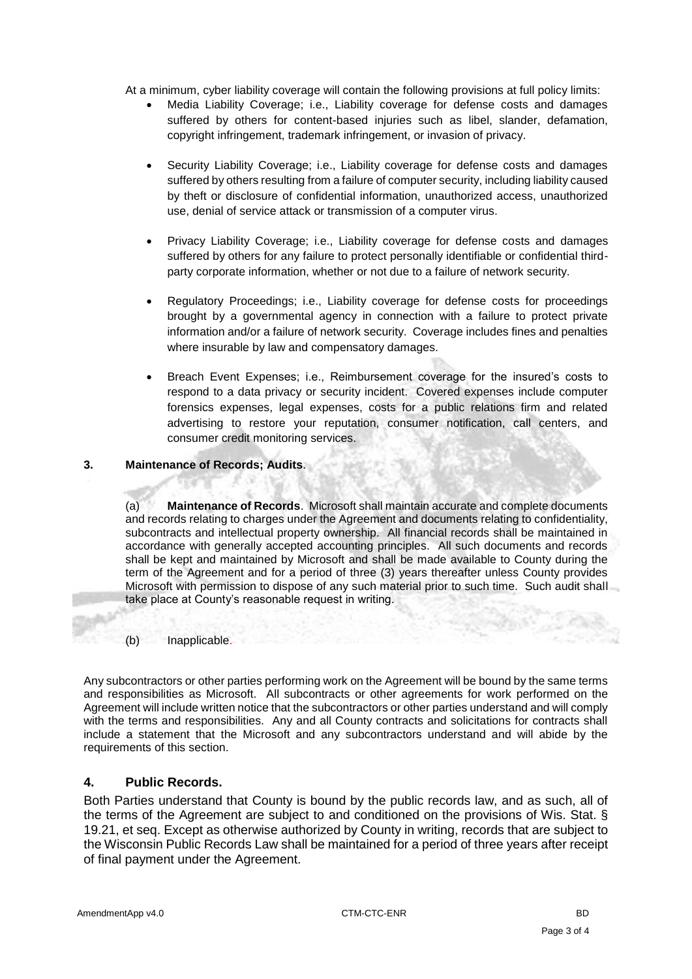At a minimum, cyber liability coverage will contain the following provisions at full policy limits:

- Media Liability Coverage; i.e., Liability coverage for defense costs and damages suffered by others for content-based injuries such as libel, slander, defamation, copyright infringement, trademark infringement, or invasion of privacy.
- Security Liability Coverage; i.e., Liability coverage for defense costs and damages suffered by others resulting from a failure of computer security, including liability caused by theft or disclosure of confidential information, unauthorized access, unauthorized use, denial of service attack or transmission of a computer virus.
- Privacy Liability Coverage; i.e., Liability coverage for defense costs and damages suffered by others for any failure to protect personally identifiable or confidential thirdparty corporate information, whether or not due to a failure of network security.
- Regulatory Proceedings; i.e., Liability coverage for defense costs for proceedings brought by a governmental agency in connection with a failure to protect private information and/or a failure of network security. Coverage includes fines and penalties where insurable by law and compensatory damages.
- Breach Event Expenses; i.e., Reimbursement coverage for the insured's costs to respond to a data privacy or security incident. Covered expenses include computer forensics expenses, legal expenses, costs for a public relations firm and related advertising to restore your reputation, consumer notification, call centers, and consumer credit monitoring services.

#### **3. Maintenance of Records; Audits**.

(a) **Maintenance of Records**. Microsoft shall maintain accurate and complete documents and records relating to charges under the Agreement and documents relating to confidentiality, subcontracts and intellectual property ownership. All financial records shall be maintained in accordance with generally accepted accounting principles. All such documents and records shall be kept and maintained by Microsoft and shall be made available to County during the term of the Agreement and for a period of three (3) years thereafter unless County provides Microsoft with permission to dispose of any such material prior to such time. Such audit shall take place at County's reasonable request in writing.

(b) Inapplicable.

Any subcontractors or other parties performing work on the Agreement will be bound by the same terms and responsibilities as Microsoft. All subcontracts or other agreements for work performed on the Agreement will include written notice that the subcontractors or other parties understand and will comply with the terms and responsibilities. Any and all County contracts and solicitations for contracts shall include a statement that the Microsoft and any subcontractors understand and will abide by the requirements of this section.

#### **4. Public Records.**

Both Parties understand that County is bound by the public records law, and as such, all of the terms of the Agreement are subject to and conditioned on the provisions of Wis. Stat. § 19.21, et seq. Except as otherwise authorized by County in writing, records that are subject to the Wisconsin Public Records Law shall be maintained for a period of three years after receipt of final payment under the Agreement.